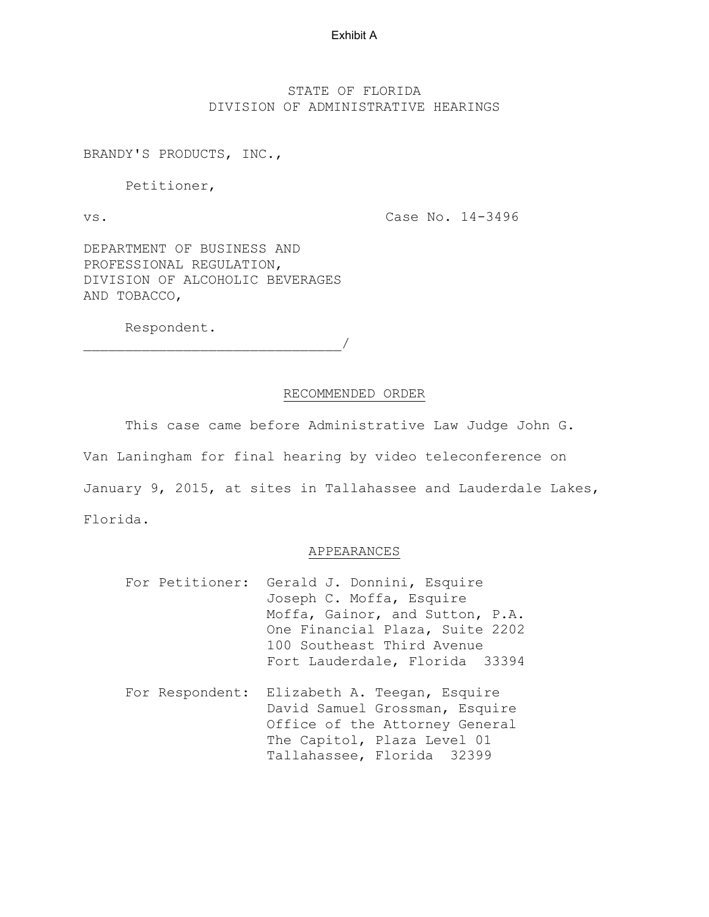# STATE OF FLORIDA DIVISION OF ADMINISTRATIVE HEARINGS

BRANDY'S PRODUCTS, INC.,

Petitioner,

vs.

Case No. 14-3496

DEPARTMENT OF BUSINESS AND PROFESSIONAL REGULATION, DIVISION OF ALCOHOLIC BEVERAGES AND TOBACCO,

Respondent.

 $\overline{\phantom{a}}$ 

# RECOMMENDED ORDER

This case came before Administrative Law Judge John G.

Van Laningham for final hearing by video teleconference on January 9, 2015, at sites in Tallahassee and Lauderdale Lakes, Florida.

# APPEARANCES

- For Petitioner: Gerald J. Donnini, Esquire Joseph C. Moffa, Esquire Moffa, Gainor, and Sutton, P.A. One Financial Plaza, Suite 2202 100 Southeast Third Avenue Fort Lauderdale, Florida 33394
- For Respondent: Elizabeth A. Teegan, Esquire David Samuel Grossman, Esquire Office of the Attorney General The Capitol, Plaza Level 01 Tallahassee, Florida 32399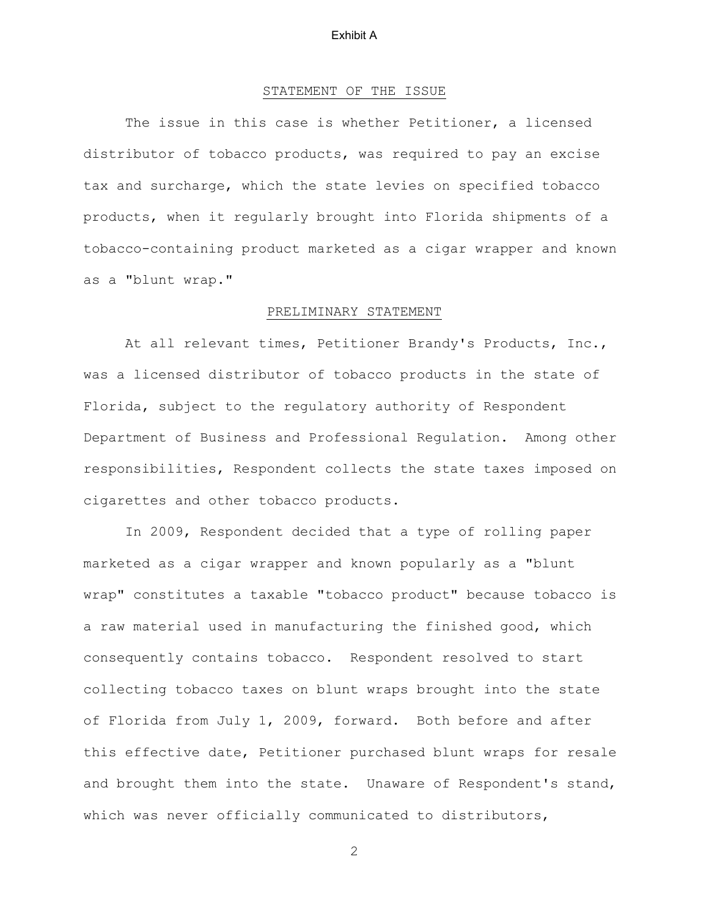# STATEMENT OF THE ISSUE

The issue in this case is whether Petitioner, a licensed distributor of tobacco products, was required to pay an excise tax and surcharge, which the state levies on specified tobacco products, when it regularly brought into Florida shipments of a tobacco-containing product marketed as a cigar wrapper and known as a "blunt wrap."

# PRELIMINARY STATEMENT

 At all relevant times, Petitioner Brandy's Products, Inc., was a licensed distributor of tobacco products in the state of Florida, subject to the regulatory authority of Respondent Department of Business and Professional Regulation. Among other responsibilities, Respondent collects the state taxes imposed on cigarettes and other tobacco products.

 In 2009, Respondent decided that a type of rolling paper marketed as a cigar wrapper and known popularly as a "blunt wrap" constitutes a taxable "tobacco product" because tobacco is a raw material used in manufacturing the finished good, which consequently contains tobacco. Respondent resolved to start collecting tobacco taxes on blunt wraps brought into the state of Florida from July 1, 2009, forward. Both before and after this effective date, Petitioner purchased blunt wraps for resale and brought them into the state. Unaware of Respondent's stand, which was never officially communicated to distributors,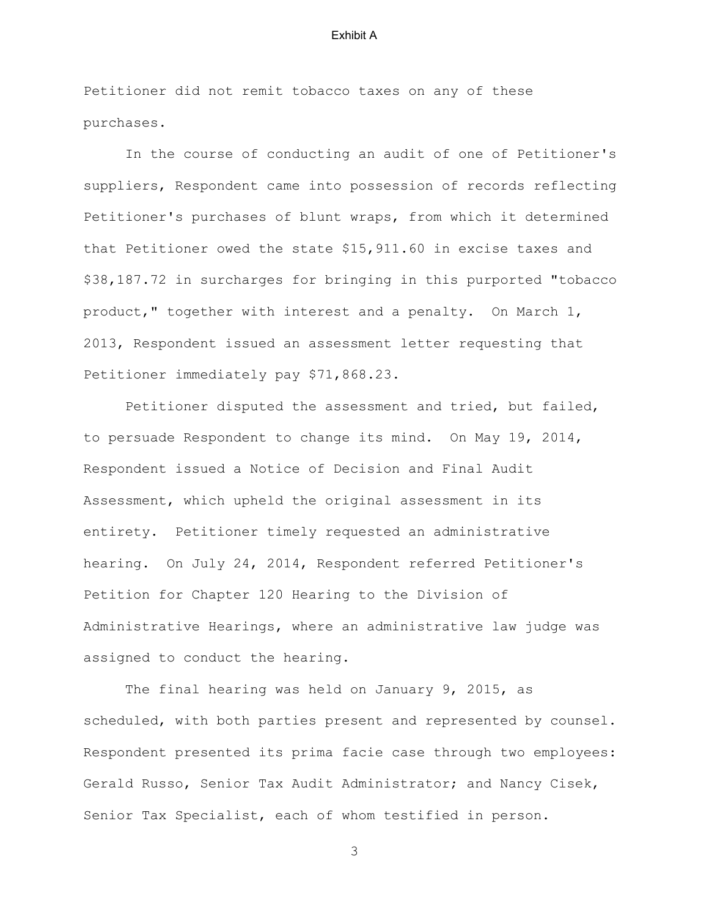Petitioner did not remit tobacco taxes on any of these purchases.

 In the course of conducting an audit of one of Petitioner's suppliers, Respondent came into possession of records reflecting Petitioner's purchases of blunt wraps, from which it determined that Petitioner owed the state \$15,911.60 in excise taxes and \$38,187.72 in surcharges for bringing in this purported "tobacco product," together with interest and a penalty. On March 1, 2013, Respondent issued an assessment letter requesting that Petitioner immediately pay \$71,868.23.

 Petitioner disputed the assessment and tried, but failed, to persuade Respondent to change its mind. On May 19, 2014, Respondent issued a Notice of Decision and Final Audit Assessment, which upheld the original assessment in its entirety. Petitioner timely requested an administrative hearing. On July 24, 2014, Respondent referred Petitioner's Petition for Chapter 120 Hearing to the Division of Administrative Hearings, where an administrative law judge was assigned to conduct the hearing.

 The final hearing was held on January 9, 2015, as scheduled, with both parties present and represented by counsel. Respondent presented its prima facie case through two employees: Gerald Russo, Senior Tax Audit Administrator; and Nancy Cisek, Senior Tax Specialist, each of whom testified in person.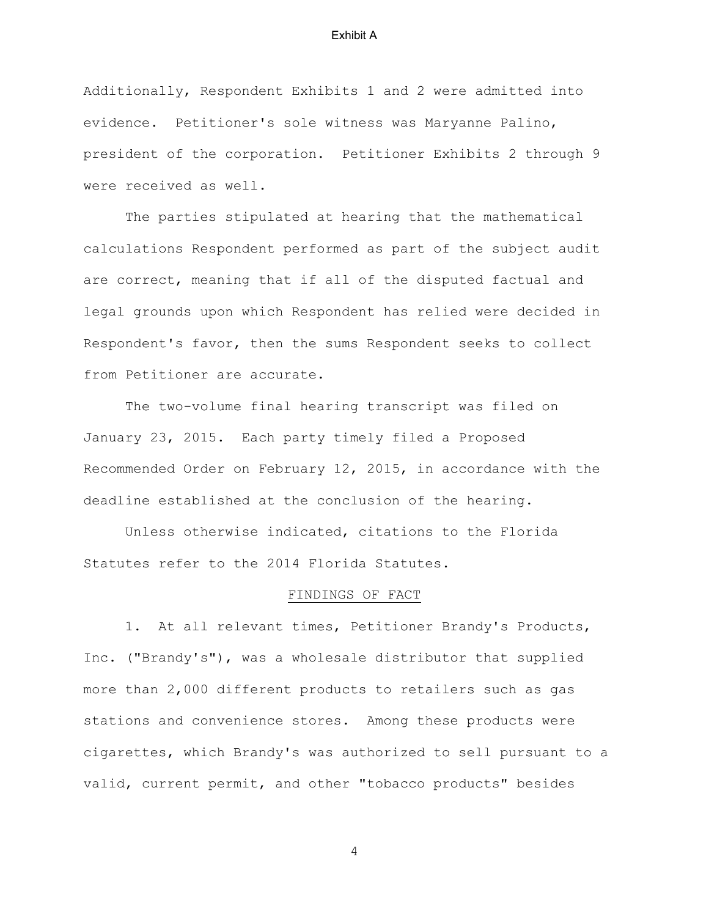Additionally, Respondent Exhibits 1 and 2 were admitted into evidence. Petitioner's sole witness was Maryanne Palino, president of the corporation. Petitioner Exhibits 2 through 9 were received as well.

 The parties stipulated at hearing that the mathematical calculations Respondent performed as part of the subject audit are correct, meaning that if all of the disputed factual and legal grounds upon which Respondent has relied were decided in Respondent's favor, then the sums Respondent seeks to collect from Petitioner are accurate.

 The two-volume final hearing transcript was filed on January 23, 2015. Each party timely filed a Proposed Recommended Order on February 12, 2015, in accordance with the deadline established at the conclusion of the hearing.

 Unless otherwise indicated, citations to the Florida Statutes refer to the 2014 Florida Statutes.

## FINDINGS OF FACT

1. At all relevant times, Petitioner Brandy's Products, Inc. ("Brandy's"), was a wholesale distributor that supplied more than 2,000 different products to retailers such as gas stations and convenience stores. Among these products were cigarettes, which Brandy's was authorized to sell pursuant to a valid, current permit, and other "tobacco products" besides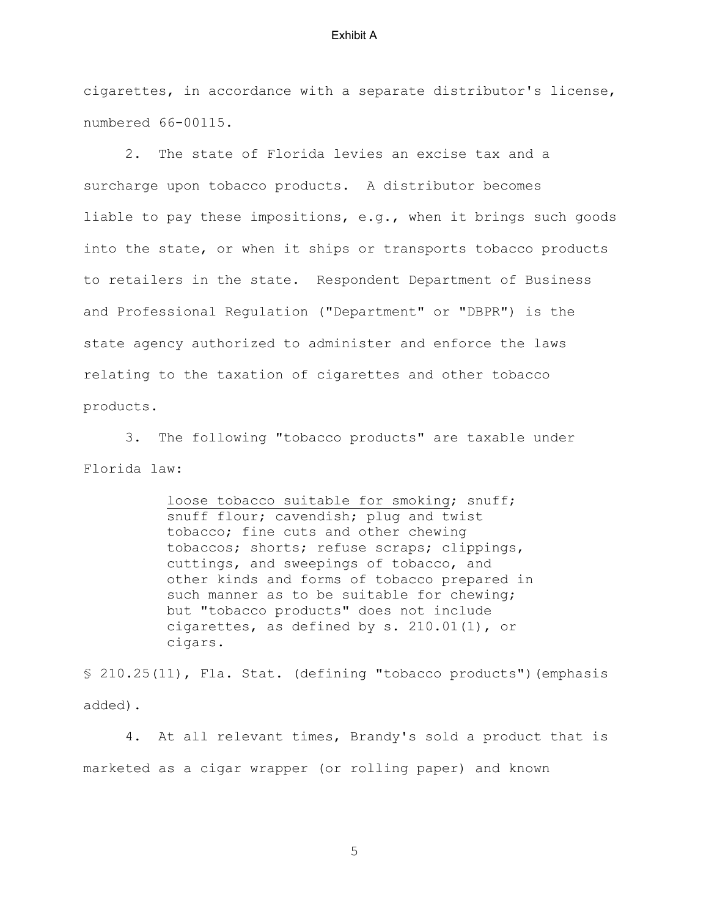cigarettes, in accordance with a separate distributor's license, numbered 66-00115.

2. The state of Florida levies an excise tax and a surcharge upon tobacco products. A distributor becomes liable to pay these impositions, e.g., when it brings such goods into the state, or when it ships or transports tobacco products to retailers in the state. Respondent Department of Business and Professional Regulation ("Department" or "DBPR") is the state agency authorized to administer and enforce the laws relating to the taxation of cigarettes and other tobacco products.

3. The following "tobacco products" are taxable under Florida law:

> loose tobacco suitable for smoking; snuff; snuff flour; cavendish; plug and twist tobacco; fine cuts and other chewing tobaccos; shorts; refuse scraps; clippings, cuttings, and sweepings of tobacco, and other kinds and forms of tobacco prepared in such manner as to be suitable for chewing; but "tobacco products" does not include cigarettes, as defined by s. 210.01(1), or cigars.

§ 210.25(11), Fla. Stat. (defining "tobacco products")(emphasis added).

 4. At all relevant times, Brandy's sold a product that is marketed as a cigar wrapper (or rolling paper) and known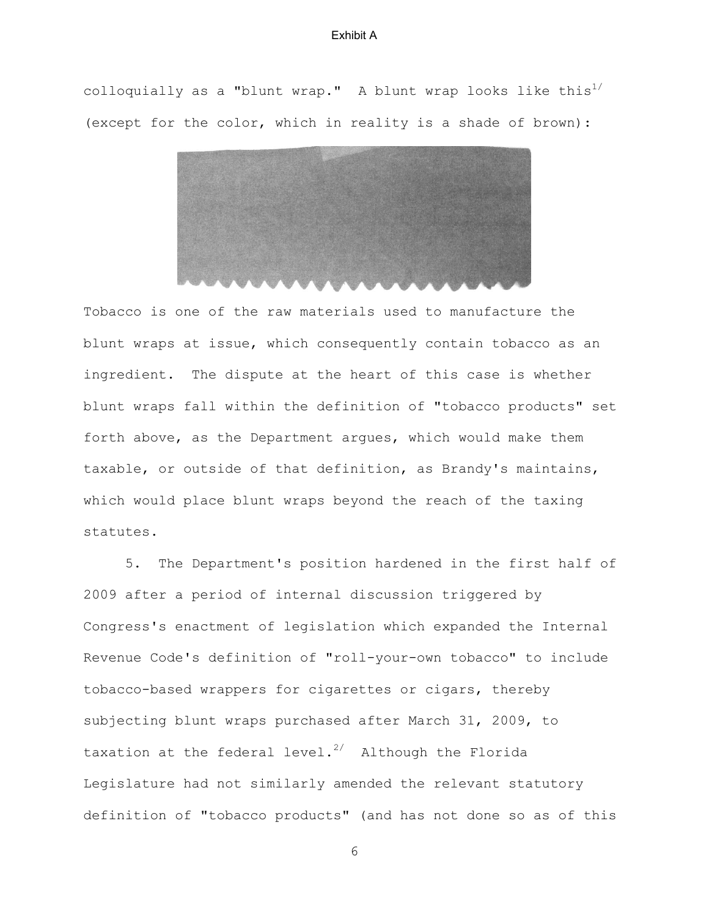colloquially as a "blunt wrap." A blunt wrap looks like this<sup>1/</sup> (except for the color, which in reality is a shade of brown):



Tobacco is one of the raw materials used to manufacture the blunt wraps at issue, which consequently contain tobacco as an ingredient. The dispute at the heart of this case is whether blunt wraps fall within the definition of "tobacco products" set forth above, as the Department argues, which would make them taxable, or outside of that definition, as Brandy's maintains, which would place blunt wraps beyond the reach of the taxing statutes.

 5. The Department's position hardened in the first half of 2009 after a period of internal discussion triggered by Congress's enactment of legislation which expanded the Internal Revenue Code's definition of "roll-your-own tobacco" to include tobacco-based wrappers for cigarettes or cigars, thereby subjecting blunt wraps purchased after March 31, 2009, to taxation at the federal level.<sup>2/</sup> Although the Florida Legislature had not similarly amended the relevant statutory definition of "tobacco products" (and has not done so as of this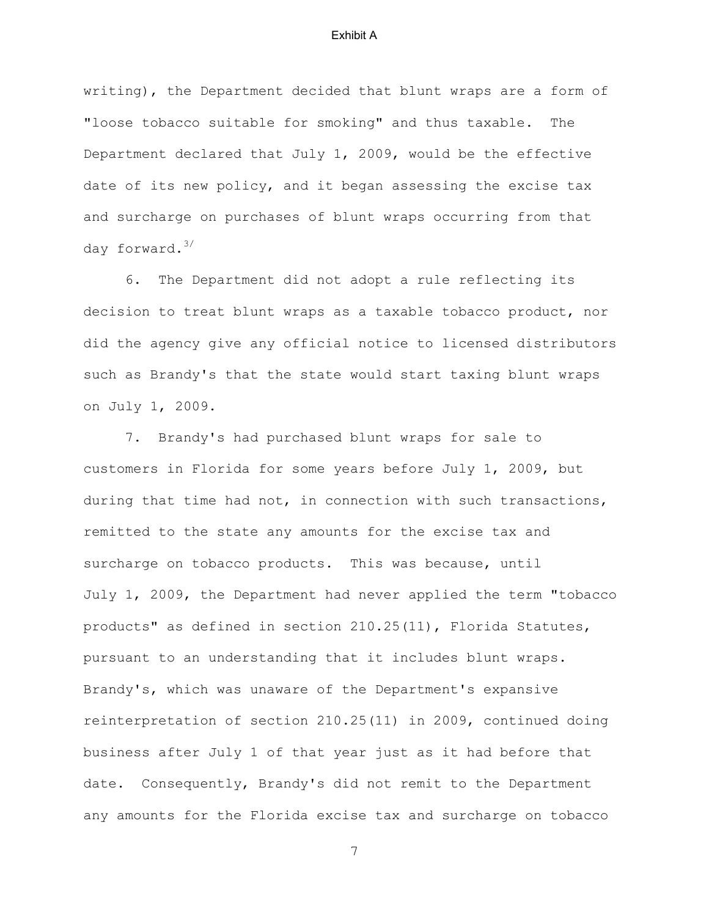writing), the Department decided that blunt wraps are a form of "loose tobacco suitable for smoking" and thus taxable. The Department declared that July 1, 2009, would be the effective date of its new policy, and it began assessing the excise tax and surcharge on purchases of blunt wraps occurring from that day forward.<sup>3/</sup>

 6. The Department did not adopt a rule reflecting its decision to treat blunt wraps as a taxable tobacco product, nor did the agency give any official notice to licensed distributors such as Brandy's that the state would start taxing blunt wraps on July 1, 2009.

 7. Brandy's had purchased blunt wraps for sale to customers in Florida for some years before July 1, 2009, but during that time had not, in connection with such transactions, remitted to the state any amounts for the excise tax and surcharge on tobacco products. This was because, until July 1, 2009, the Department had never applied the term "tobacco products" as defined in section 210.25(11), Florida Statutes, pursuant to an understanding that it includes blunt wraps. Brandy's, which was unaware of the Department's expansive reinterpretation of section 210.25(11) in 2009, continued doing business after July 1 of that year just as it had before that date. Consequently, Brandy's did not remit to the Department any amounts for the Florida excise tax and surcharge on tobacco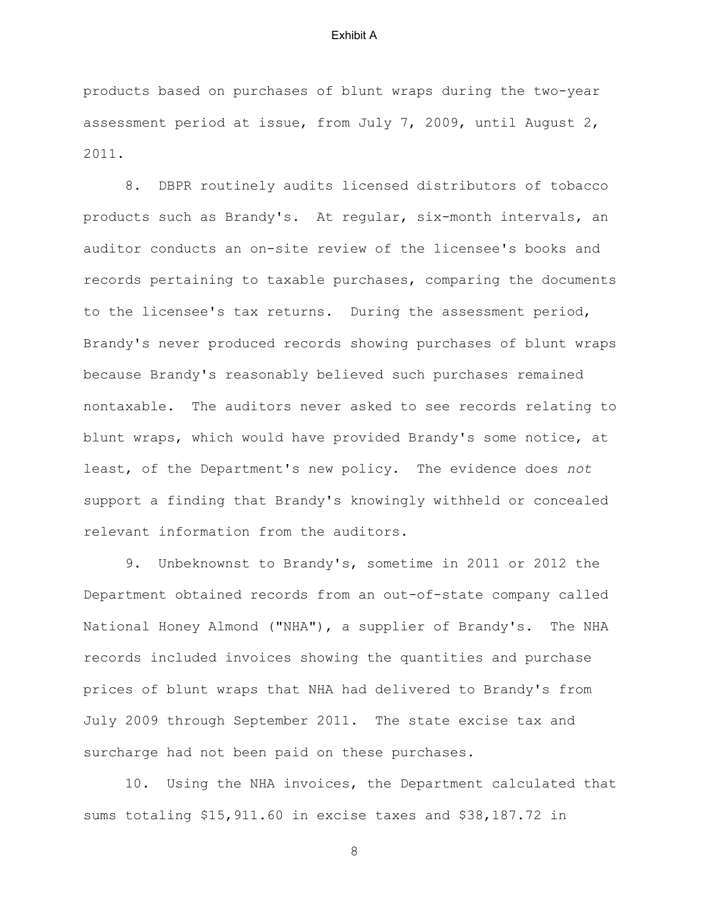products based on purchases of blunt wraps during the two-year assessment period at issue, from July 7, 2009, until August 2, 2011.

 8. DBPR routinely audits licensed distributors of tobacco products such as Brandy's. At regular, six-month intervals, an auditor conducts an on-site review of the licensee's books and records pertaining to taxable purchases, comparing the documents to the licensee's tax returns. During the assessment period, Brandy's never produced records showing purchases of blunt wraps because Brandy's reasonably believed such purchases remained nontaxable. The auditors never asked to see records relating to blunt wraps, which would have provided Brandy's some notice, at least, of the Department's new policy. The evidence does *not* support a finding that Brandy's knowingly withheld or concealed relevant information from the auditors.

 9. Unbeknownst to Brandy's, sometime in 2011 or 2012 the Department obtained records from an out-of-state company called National Honey Almond ("NHA"), a supplier of Brandy's. The NHA records included invoices showing the quantities and purchase prices of blunt wraps that NHA had delivered to Brandy's from July 2009 through September 2011. The state excise tax and surcharge had not been paid on these purchases.

 10. Using the NHA invoices, the Department calculated that sums totaling \$15,911.60 in excise taxes and \$38,187.72 in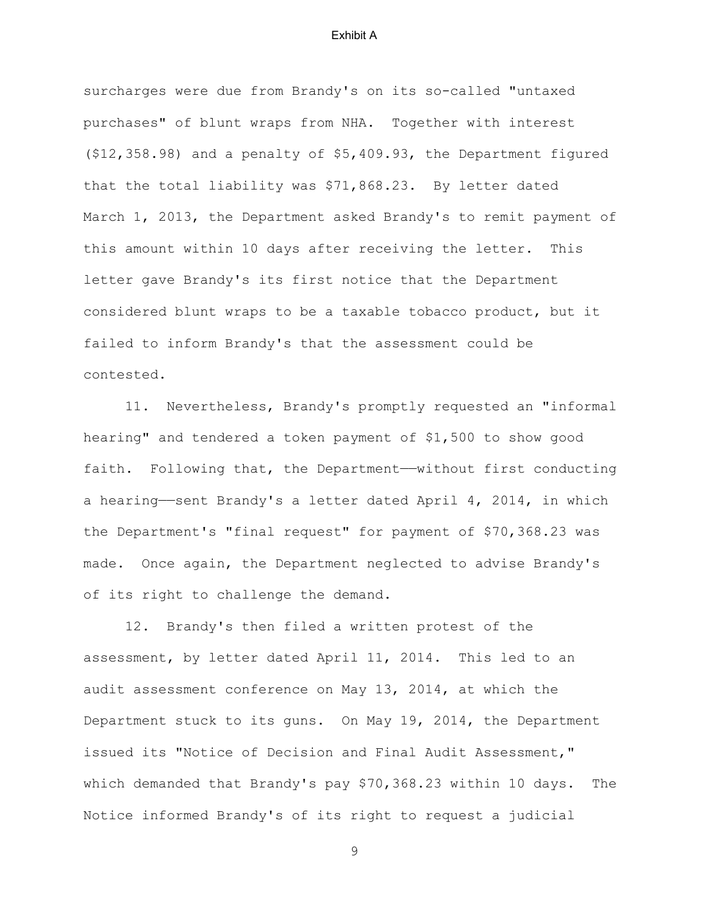surcharges were due from Brandy's on its so-called "untaxed purchases" of blunt wraps from NHA. Together with interest (\$12,358.98) and a penalty of \$5,409.93, the Department figured that the total liability was \$71,868.23. By letter dated March 1, 2013, the Department asked Brandy's to remit payment of this amount within 10 days after receiving the letter. This letter gave Brandy's its first notice that the Department considered blunt wraps to be a taxable tobacco product, but it failed to inform Brandy's that the assessment could be contested.

11. Nevertheless, Brandy's promptly requested an "informal hearing" and tendered a token payment of \$1,500 to show good faith. Following that, the Department—without first conducting a hearing——sent Brandy's a letter dated April 4, 2014, in which the Department's "final request" for payment of \$70,368.23 was made. Once again, the Department neglected to advise Brandy's of its right to challenge the demand.

12. Brandy's then filed a written protest of the assessment, by letter dated April 11, 2014. This led to an audit assessment conference on May 13, 2014, at which the Department stuck to its guns. On May 19, 2014, the Department issued its "Notice of Decision and Final Audit Assessment," which demanded that Brandy's pay \$70,368.23 within 10 days. The Notice informed Brandy's of its right to request a judicial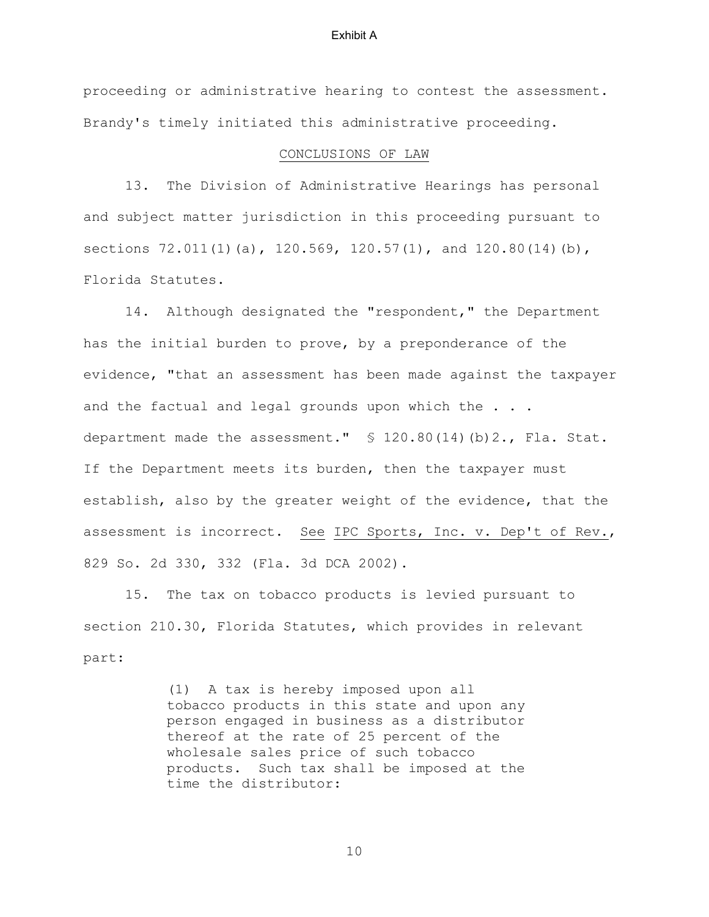proceeding or administrative hearing to contest the assessment. Brandy's timely initiated this administrative proceeding.

# CONCLUSIONS OF LAW

13. The Division of Administrative Hearings has personal and subject matter jurisdiction in this proceeding pursuant to sections 72.011(1)(a), 120.569, 120.57(1), and 120.80(14)(b), Florida Statutes.

14. Although designated the "respondent," the Department has the initial burden to prove, by a preponderance of the evidence, "that an assessment has been made against the taxpayer and the factual and legal grounds upon which the . . . department made the assessment." § 120.80(14)(b)2., Fla. Stat. If the Department meets its burden, then the taxpayer must establish, also by the greater weight of the evidence, that the assessment is incorrect. See IPC Sports, Inc. v. Dep't of Rev., 829 So. 2d 330, 332 (Fla. 3d DCA 2002).

15. The tax on tobacco products is levied pursuant to section 210.30, Florida Statutes, which provides in relevant part:

> (1) A tax is hereby imposed upon all tobacco products in this state and upon any person engaged in business as a distributor thereof at the rate of 25 percent of the wholesale sales price of such tobacco products. Such tax shall be imposed at the time the distributor: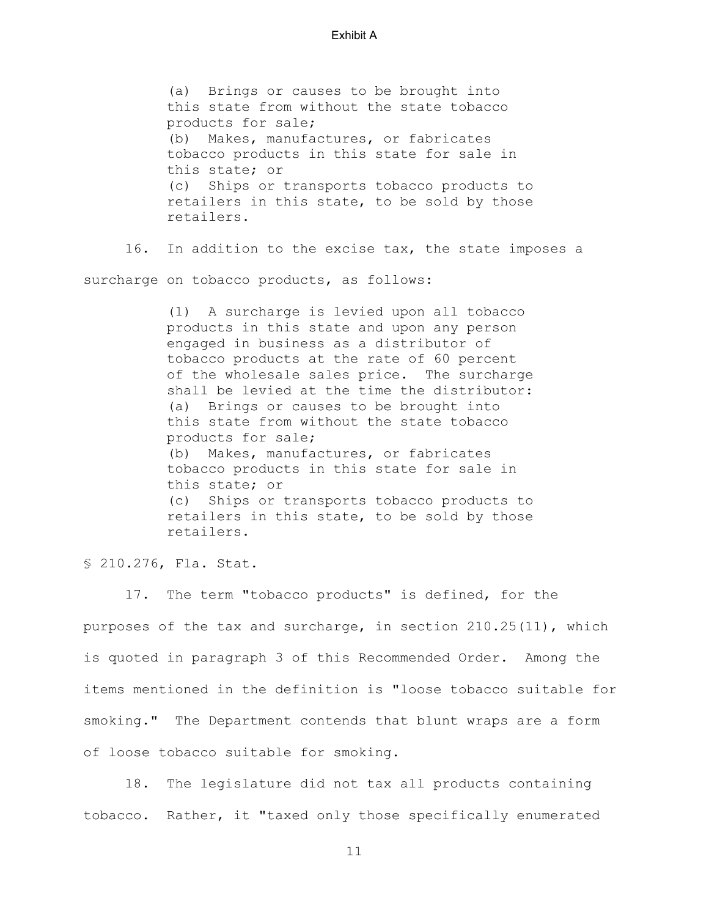(a) Brings or causes to be brought into this state from without the state tobacco products for sale; (b) Makes, manufactures, or fabricates tobacco products in this state for sale in this state; or (c) Ships or transports tobacco products to retailers in this state, to be sold by those retailers.

16. In addition to the excise tax, the state imposes a

surcharge on tobacco products, as follows:

(1) A surcharge is levied upon all tobacco products in this state and upon any person engaged in business as a distributor of tobacco products at the rate of 60 percent of the wholesale sales price. The surcharge shall be levied at the time the distributor: (a) Brings or causes to be brought into this state from without the state tobacco products for sale; (b) Makes, manufactures, or fabricates tobacco products in this state for sale in this state; or (c) Ships or transports tobacco products to retailers in this state, to be sold by those retailers.

§ 210.276, Fla. Stat.

 17. The term "tobacco products" is defined, for the purposes of the tax and surcharge, in section 210.25(11), which is quoted in paragraph 3 of this Recommended Order. Among the items mentioned in the definition is "loose tobacco suitable for smoking." The Department contends that blunt wraps are a form of loose tobacco suitable for smoking.

 18. The legislature did not tax all products containing tobacco. Rather, it "taxed only those specifically enumerated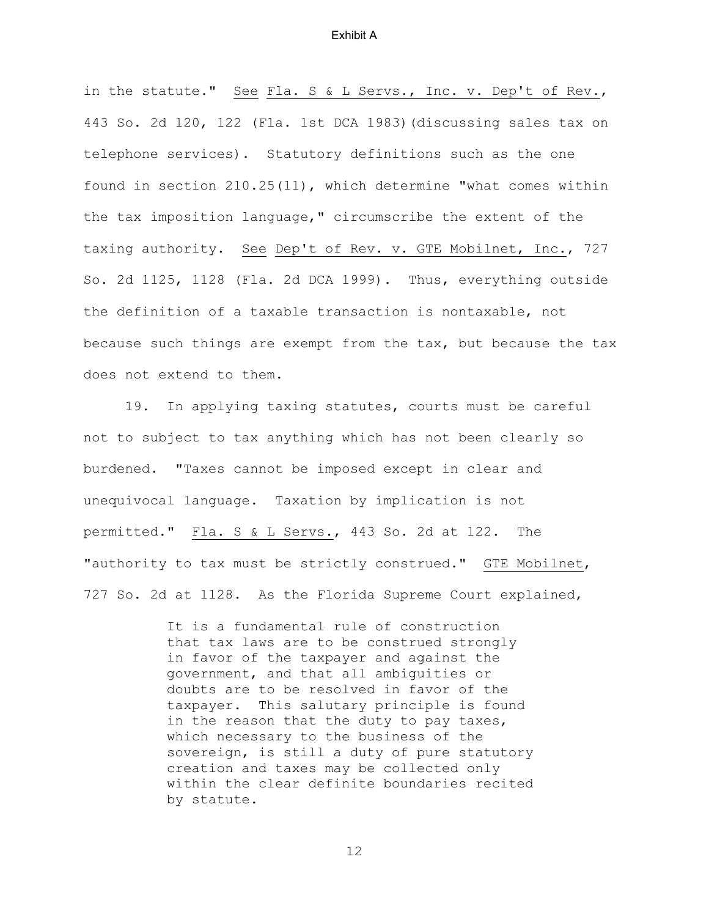in the statute." See Fla. S & L Servs., Inc. v. Dep't of Rev., 443 So. 2d 120, 122 (Fla. 1st DCA 1983)(discussing sales tax on telephone services). Statutory definitions such as the one found in section 210.25(11), which determine "what comes within the tax imposition language," circumscribe the extent of the taxing authority. See Dep't of Rev. v. GTE Mobilnet, Inc., 727 So. 2d 1125, 1128 (Fla. 2d DCA 1999). Thus, everything outside the definition of a taxable transaction is nontaxable, not because such things are exempt from the tax, but because the tax does not extend to them.

 19. In applying taxing statutes, courts must be careful not to subject to tax anything which has not been clearly so burdened. "Taxes cannot be imposed except in clear and unequivocal language. Taxation by implication is not permitted." Fla. S & L Servs., 443 So. 2d at 122. The "authority to tax must be strictly construed." GTE Mobilnet, 727 So. 2d at 1128. As the Florida Supreme Court explained,

> It is a fundamental rule of construction that tax laws are to be construed strongly in favor of the taxpayer and against the government, and that all ambiguities or doubts are to be resolved in favor of the taxpayer. This salutary principle is found in the reason that the duty to pay taxes, which necessary to the business of the sovereign, is still a duty of pure statutory creation and taxes may be collected only within the clear definite boundaries recited by statute.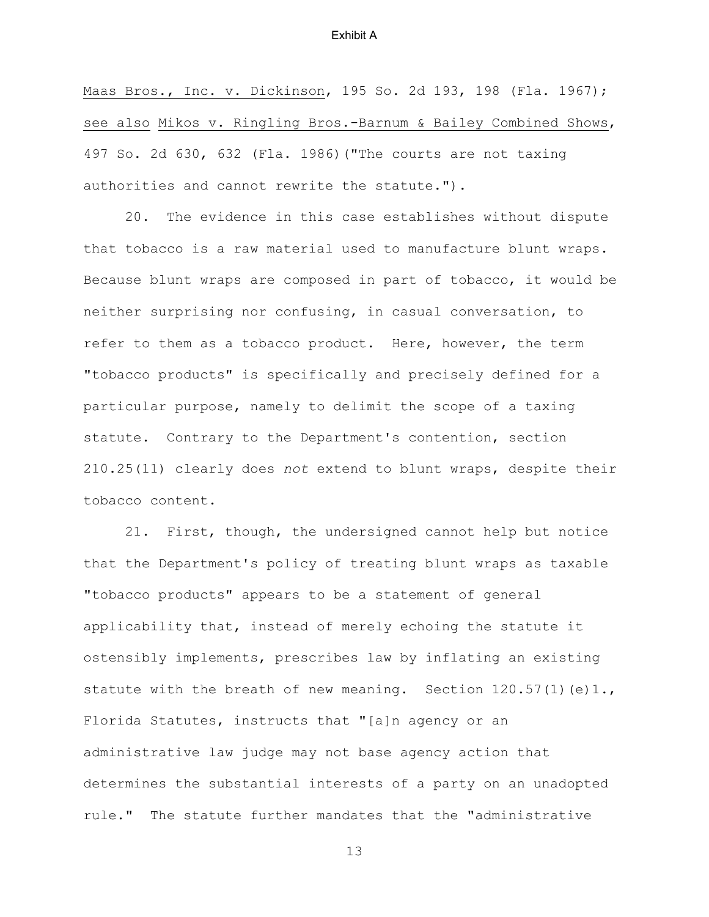Maas Bros., Inc. v. Dickinson, 195 So. 2d 193, 198 (Fla. 1967); see also Mikos v. Ringling Bros.-Barnum & Bailey Combined Shows, 497 So. 2d 630, 632 (Fla. 1986)("The courts are not taxing authorities and cannot rewrite the statute.").

 20. The evidence in this case establishes without dispute that tobacco is a raw material used to manufacture blunt wraps. Because blunt wraps are composed in part of tobacco, it would be neither surprising nor confusing, in casual conversation, to refer to them as a tobacco product. Here, however, the term "tobacco products" is specifically and precisely defined for a particular purpose, namely to delimit the scope of a taxing statute. Contrary to the Department's contention, section 210.25(11) clearly does *not* extend to blunt wraps, despite their tobacco content.

21. First, though, the undersigned cannot help but notice that the Department's policy of treating blunt wraps as taxable "tobacco products" appears to be a statement of general applicability that, instead of merely echoing the statute it ostensibly implements, prescribes law by inflating an existing statute with the breath of new meaning. Section 120.57(1) (e)1., Florida Statutes, instructs that "[a]n agency or an administrative law judge may not base agency action that determines the substantial interests of a party on an unadopted rule." The statute further mandates that the "administrative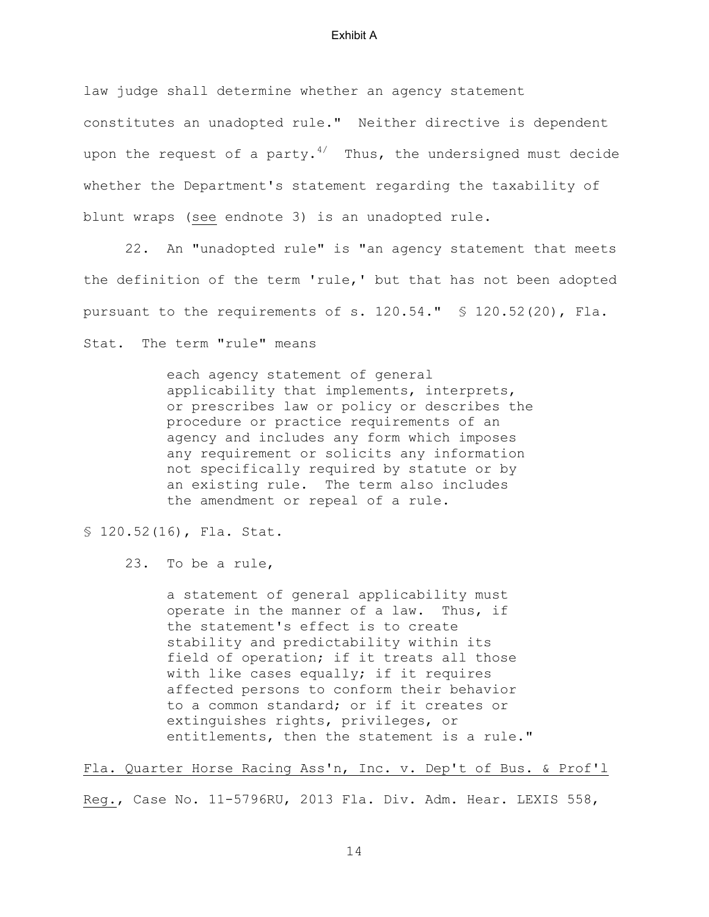law judge shall determine whether an agency statement constitutes an unadopted rule." Neither directive is dependent upon the request of a party.<sup>4/</sup> Thus, the undersigned must decide whether the Department's statement regarding the taxability of blunt wraps (see endnote 3) is an unadopted rule.

 22. An "unadopted rule" is "an agency statement that meets the definition of the term 'rule,' but that has not been adopted pursuant to the requirements of s. 120.54." § 120.52(20), Fla. Stat. The term "rule" means

> each agency statement of general applicability that implements, interprets, or prescribes law or policy or describes the procedure or practice requirements of an agency and includes any form which imposes any requirement or solicits any information not specifically required by statute or by an existing rule. The term also includes the amendment or repeal of a rule.

§ 120.52(16), Fla. Stat.

23. To be a rule,

a statement of general applicability must operate in the manner of a law. Thus, if the statement's effect is to create stability and predictability within its field of operation; if it treats all those with like cases equally; if it requires affected persons to conform their behavior to a common standard; or if it creates or extinguishes rights, privileges, or entitlements, then the statement is a rule."

Fla. Quarter Horse Racing Ass'n, Inc. v. Dep't of Bus. & Prof'l

Reg., Case No. 11-5796RU, 2013 Fla. Div. Adm. Hear. LEXIS 558,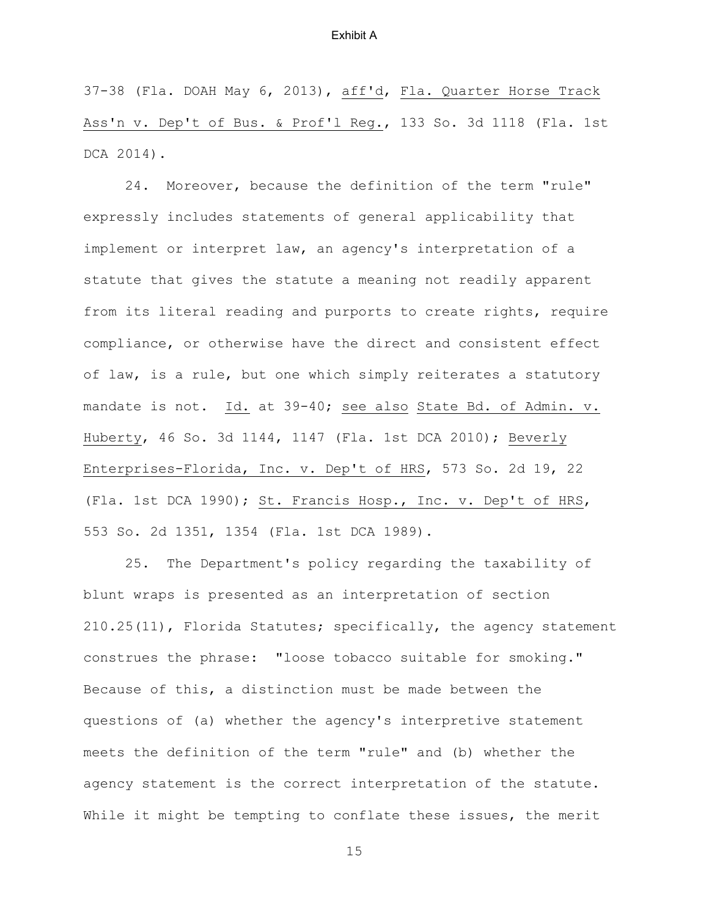37-38 (Fla. DOAH May 6, 2013), aff'd, Fla. Quarter Horse Track Ass'n v. Dep't of Bus. & Prof'l Reg., 133 So. 3d 1118 (Fla. 1st DCA 2014).

 24. Moreover, because the definition of the term "rule" expressly includes statements of general applicability that implement or interpret law, an agency's interpretation of a statute that gives the statute a meaning not readily apparent from its literal reading and purports to create rights, require compliance, or otherwise have the direct and consistent effect of law, is a rule, but one which simply reiterates a statutory mandate is not. Id. at 39-40; see also State Bd. of Admin. v. Huberty, 46 So. 3d 1144, 1147 (Fla. 1st DCA 2010); Beverly Enterprises-Florida, Inc. v. Dep't of HRS, 573 So. 2d 19, 22 (Fla. 1st DCA 1990); St. Francis Hosp., Inc. v. Dep't of HRS, 553 So. 2d 1351, 1354 (Fla. 1st DCA 1989).

 25. The Department's policy regarding the taxability of blunt wraps is presented as an interpretation of section 210.25(11), Florida Statutes; specifically, the agency statement construes the phrase: "loose tobacco suitable for smoking." Because of this, a distinction must be made between the questions of (a) whether the agency's interpretive statement meets the definition of the term "rule" and (b) whether the agency statement is the correct interpretation of the statute. While it might be tempting to conflate these issues, the merit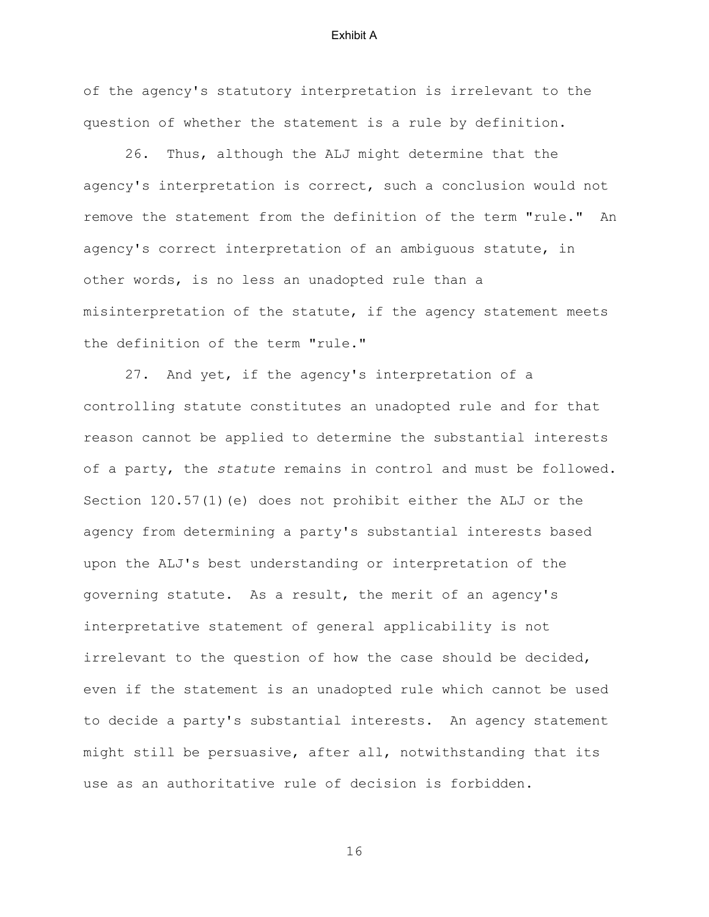of the agency's statutory interpretation is irrelevant to the question of whether the statement is a rule by definition.

 26. Thus, although the ALJ might determine that the agency's interpretation is correct, such a conclusion would not remove the statement from the definition of the term "rule." An agency's correct interpretation of an ambiguous statute, in other words, is no less an unadopted rule than a misinterpretation of the statute, if the agency statement meets the definition of the term "rule."

 27. And yet, if the agency's interpretation of a controlling statute constitutes an unadopted rule and for that reason cannot be applied to determine the substantial interests of a party, the *statute* remains in control and must be followed. Section 120.57(1)(e) does not prohibit either the ALJ or the agency from determining a party's substantial interests based upon the ALJ's best understanding or interpretation of the governing statute. As a result, the merit of an agency's interpretative statement of general applicability is not irrelevant to the question of how the case should be decided, even if the statement is an unadopted rule which cannot be used to decide a party's substantial interests. An agency statement might still be persuasive, after all, notwithstanding that its use as an authoritative rule of decision is forbidden.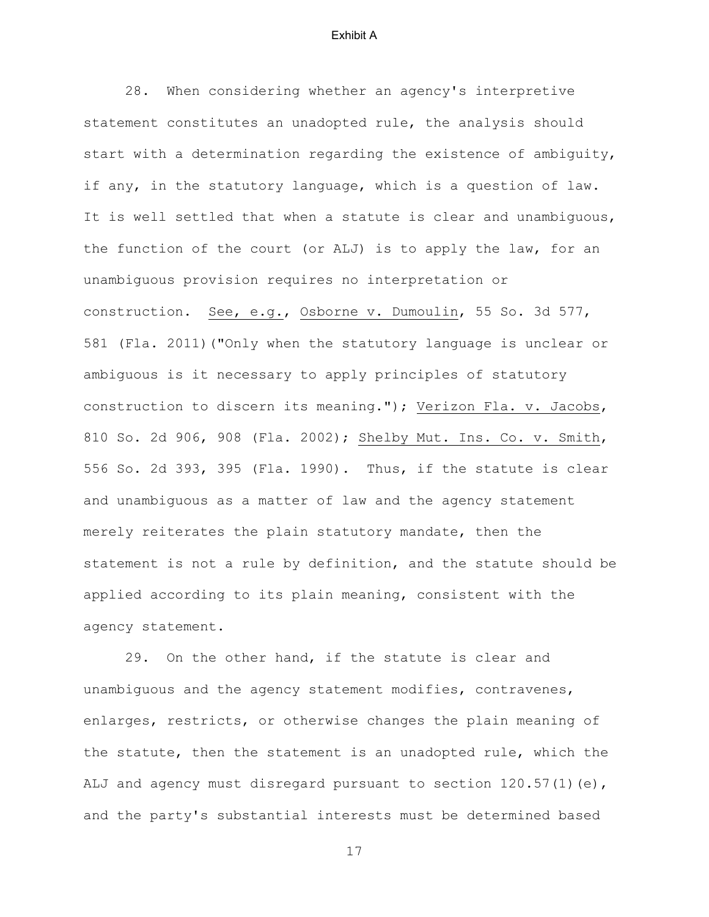28. When considering whether an agency's interpretive statement constitutes an unadopted rule, the analysis should start with a determination regarding the existence of ambiguity, if any, in the statutory language, which is a question of law. It is well settled that when a statute is clear and unambiguous, the function of the court (or ALJ) is to apply the law, for an unambiguous provision requires no interpretation or construction. See, e.g., Osborne v. Dumoulin, 55 So. 3d 577, 581 (Fla. 2011)("Only when the statutory language is unclear or ambiguous is it necessary to apply principles of statutory construction to discern its meaning."); Verizon Fla. v. Jacobs, 810 So. 2d 906, 908 (Fla. 2002); Shelby Mut. Ins. Co. v. Smith, 556 So. 2d 393, 395 (Fla. 1990). Thus, if the statute is clear and unambiguous as a matter of law and the agency statement merely reiterates the plain statutory mandate, then the statement is not a rule by definition, and the statute should be applied according to its plain meaning, consistent with the agency statement.

29. On the other hand, if the statute is clear and unambiguous and the agency statement modifies, contravenes, enlarges, restricts, or otherwise changes the plain meaning of the statute, then the statement is an unadopted rule, which the ALJ and agency must disregard pursuant to section  $120.57(1)(e)$ , and the party's substantial interests must be determined based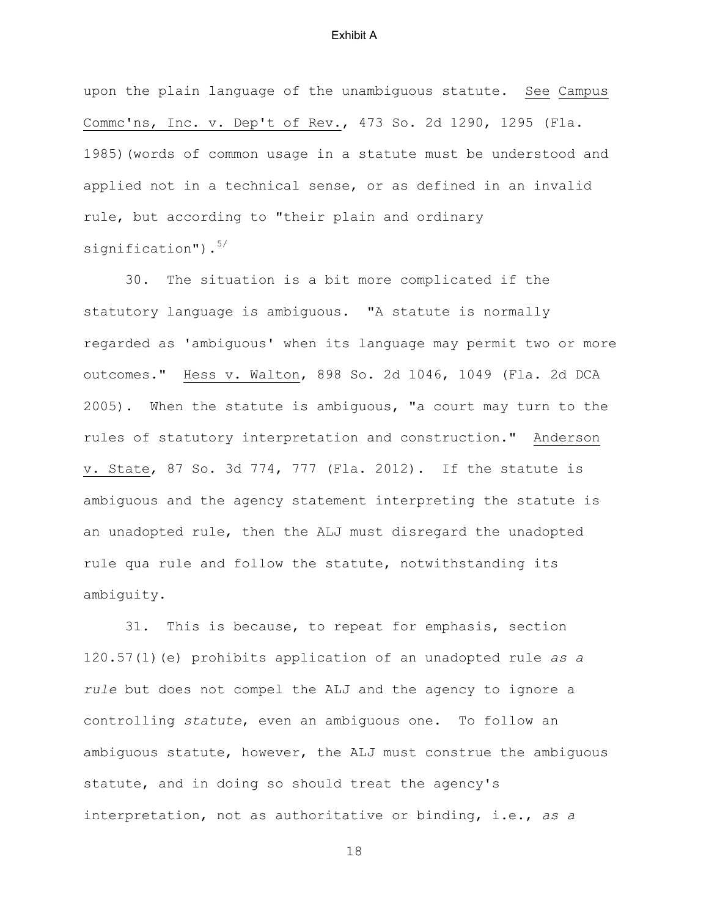upon the plain language of the unambiguous statute. See Campus Commc'ns, Inc. v. Dep't of Rev., 473 So. 2d 1290, 1295 (Fla. 1985)(words of common usage in a statute must be understood and applied not in a technical sense, or as defined in an invalid rule, but according to "their plain and ordinary signification"). $5/$ 

 30. The situation is a bit more complicated if the statutory language is ambiguous. "A statute is normally regarded as 'ambiguous' when its language may permit two or more outcomes." Hess v. Walton, 898 So. 2d 1046, 1049 (Fla. 2d DCA 2005). When the statute is ambiguous, "a court may turn to the rules of statutory interpretation and construction." Anderson v. State, 87 So. 3d 774, 777 (Fla. 2012). If the statute is ambiguous and the agency statement interpreting the statute is an unadopted rule, then the ALJ must disregard the unadopted rule qua rule and follow the statute, notwithstanding its ambiguity.

31. This is because, to repeat for emphasis, section 120.57(1)(e) prohibits application of an unadopted rule *as a rule* but does not compel the ALJ and the agency to ignore a controlling *statute*, even an ambiguous one. To follow an ambiguous statute, however, the ALJ must construe the ambiguous statute, and in doing so should treat the agency's interpretation, not as authoritative or binding, i.e., *as a*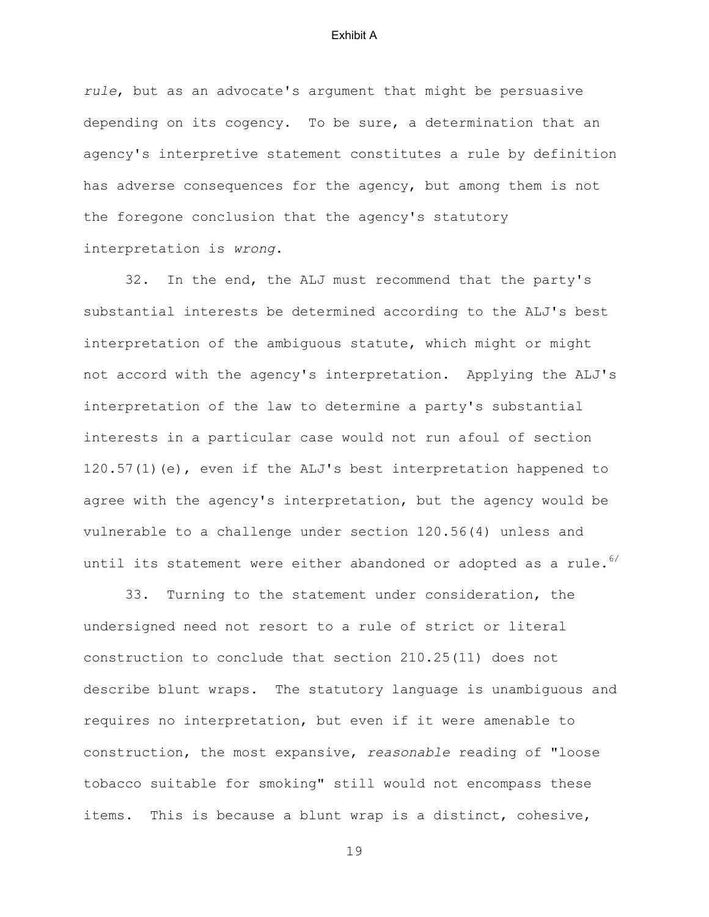*rule*, but as an advocate's argument that might be persuasive depending on its cogency. To be sure, a determination that an agency's interpretive statement constitutes a rule by definition has adverse consequences for the agency, but among them is not the foregone conclusion that the agency's statutory interpretation is *wrong*.

32. In the end, the ALJ must recommend that the party's substantial interests be determined according to the ALJ's best interpretation of the ambiguous statute, which might or might not accord with the agency's interpretation. Applying the ALJ's interpretation of the law to determine a party's substantial interests in a particular case would not run afoul of section 120.57(1)(e), even if the ALJ's best interpretation happened to agree with the agency's interpretation, but the agency would be vulnerable to a challenge under section 120.56(4) unless and until its statement were either abandoned or adopted as a rule.  $6/$ 

 33. Turning to the statement under consideration, the undersigned need not resort to a rule of strict or literal construction to conclude that section 210.25(11) does not describe blunt wraps. The statutory language is unambiguous and requires no interpretation, but even if it were amenable to construction, the most expansive, *reasonable* reading of "loose tobacco suitable for smoking" still would not encompass these items. This is because a blunt wrap is a distinct, cohesive,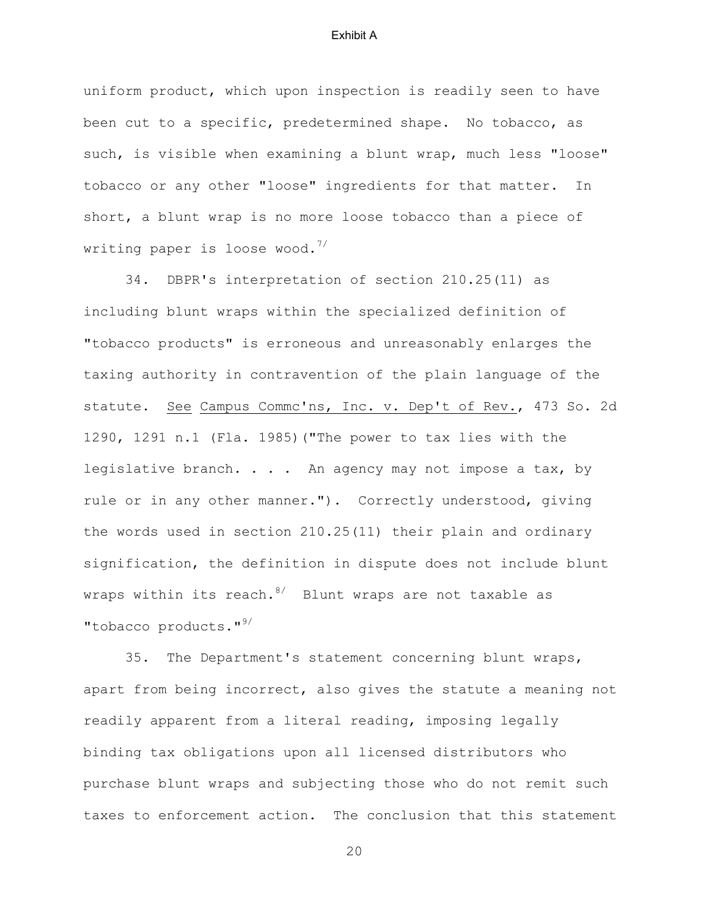uniform product, which upon inspection is readily seen to have been cut to a specific, predetermined shape. No tobacco, as such, is visible when examining a blunt wrap, much less "loose" tobacco or any other "loose" ingredients for that matter. In short, a blunt wrap is no more loose tobacco than a piece of writing paper is loose wood.<sup>7/</sup>

 34. DBPR's interpretation of section 210.25(11) as including blunt wraps within the specialized definition of "tobacco products" is erroneous and unreasonably enlarges the taxing authority in contravention of the plain language of the statute. See Campus Commc'ns, Inc. v. Dep't of Rev., 473 So. 2d 1290, 1291 n.1 (Fla. 1985)("The power to tax lies with the legislative branch. . . . An agency may not impose a tax, by rule or in any other manner."). Correctly understood, giving the words used in section 210.25(11) their plain and ordinary signification, the definition in dispute does not include blunt wraps within its reach. $8/$  Blunt wraps are not taxable as "tobacco products."<sup>9/</sup>

 35. The Department's statement concerning blunt wraps, apart from being incorrect, also gives the statute a meaning not readily apparent from a literal reading, imposing legally binding tax obligations upon all licensed distributors who purchase blunt wraps and subjecting those who do not remit such taxes to enforcement action. The conclusion that this statement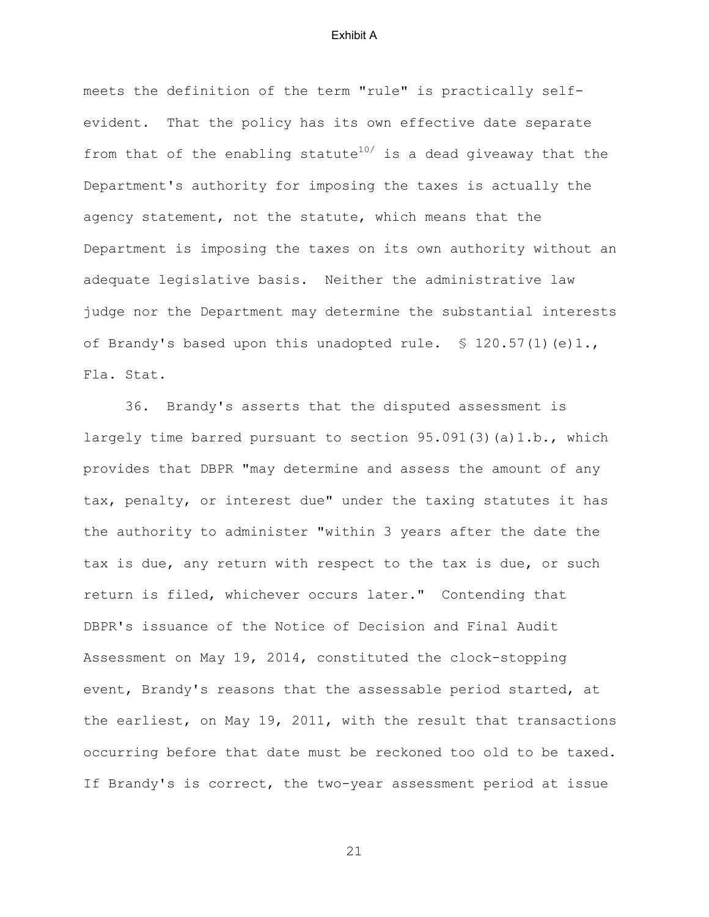meets the definition of the term "rule" is practically selfevident. That the policy has its own effective date separate from that of the enabling statute $10/$  is a dead giveaway that the Department's authority for imposing the taxes is actually the agency statement, not the statute, which means that the Department is imposing the taxes on its own authority without an adequate legislative basis. Neither the administrative law judge nor the Department may determine the substantial interests of Brandy's based upon this unadopted rule. § 120.57(1)(e)1., Fla. Stat.

 36. Brandy's asserts that the disputed assessment is largely time barred pursuant to section 95.091(3)(a)1.b., which provides that DBPR "may determine and assess the amount of any tax, penalty, or interest due" under the taxing statutes it has the authority to administer "within 3 years after the date the tax is due, any return with respect to the tax is due, or such return is filed, whichever occurs later." Contending that DBPR's issuance of the Notice of Decision and Final Audit Assessment on May 19, 2014, constituted the clock-stopping event, Brandy's reasons that the assessable period started, at the earliest, on May 19, 2011, with the result that transactions occurring before that date must be reckoned too old to be taxed. If Brandy's is correct, the two-year assessment period at issue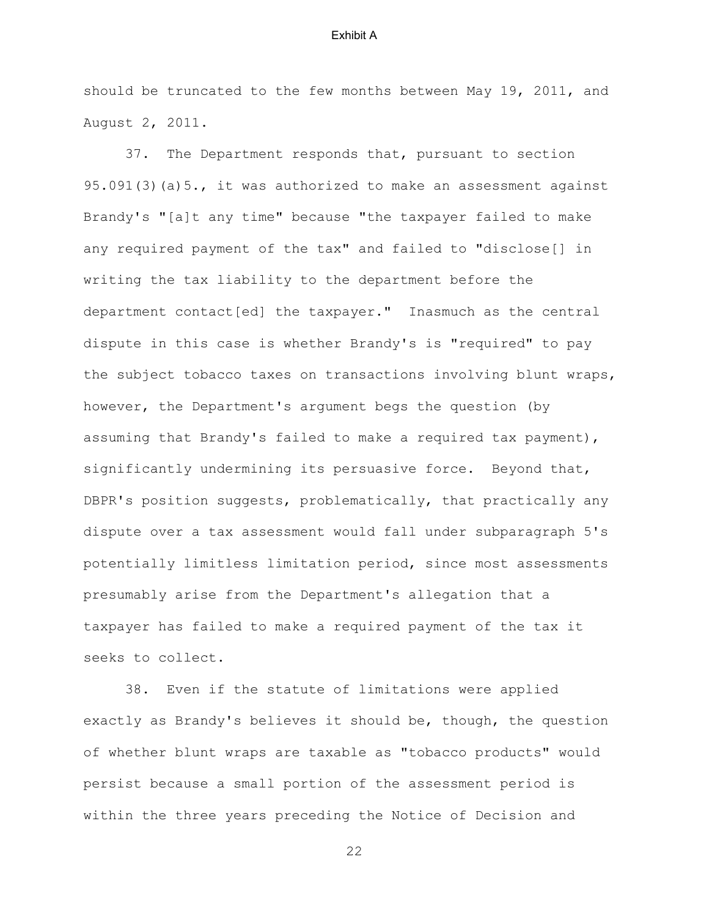should be truncated to the few months between May 19, 2011, and August 2, 2011.

 37. The Department responds that, pursuant to section 95.091(3)(a)5., it was authorized to make an assessment against Brandy's "[a]t any time" because "the taxpayer failed to make any required payment of the tax" and failed to "disclose[] in writing the tax liability to the department before the department contact[ed] the taxpayer." Inasmuch as the central dispute in this case is whether Brandy's is "required" to pay the subject tobacco taxes on transactions involving blunt wraps, however, the Department's argument begs the question (by assuming that Brandy's failed to make a required tax payment), significantly undermining its persuasive force. Beyond that, DBPR's position suggests, problematically, that practically any dispute over a tax assessment would fall under subparagraph 5's potentially limitless limitation period, since most assessments presumably arise from the Department's allegation that a taxpayer has failed to make a required payment of the tax it seeks to collect.

 38. Even if the statute of limitations were applied exactly as Brandy's believes it should be, though, the question of whether blunt wraps are taxable as "tobacco products" would persist because a small portion of the assessment period is within the three years preceding the Notice of Decision and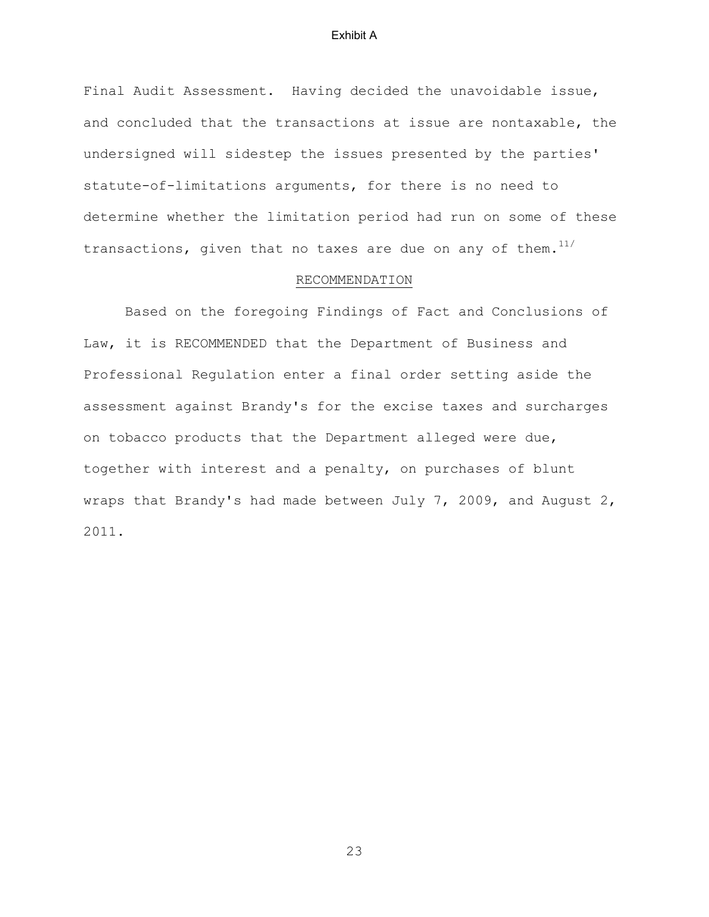Final Audit Assessment. Having decided the unavoidable issue, and concluded that the transactions at issue are nontaxable, the undersigned will sidestep the issues presented by the parties' statute-of-limitations arguments, for there is no need to determine whether the limitation period had run on some of these transactions, given that no taxes are due on any of them. $11/$ 

# RECOMMENDATION

 Based on the foregoing Findings of Fact and Conclusions of Law, it is RECOMMENDED that the Department of Business and Professional Regulation enter a final order setting aside the assessment against Brandy's for the excise taxes and surcharges on tobacco products that the Department alleged were due, together with interest and a penalty, on purchases of blunt wraps that Brandy's had made between July 7, 2009, and August 2, 2011.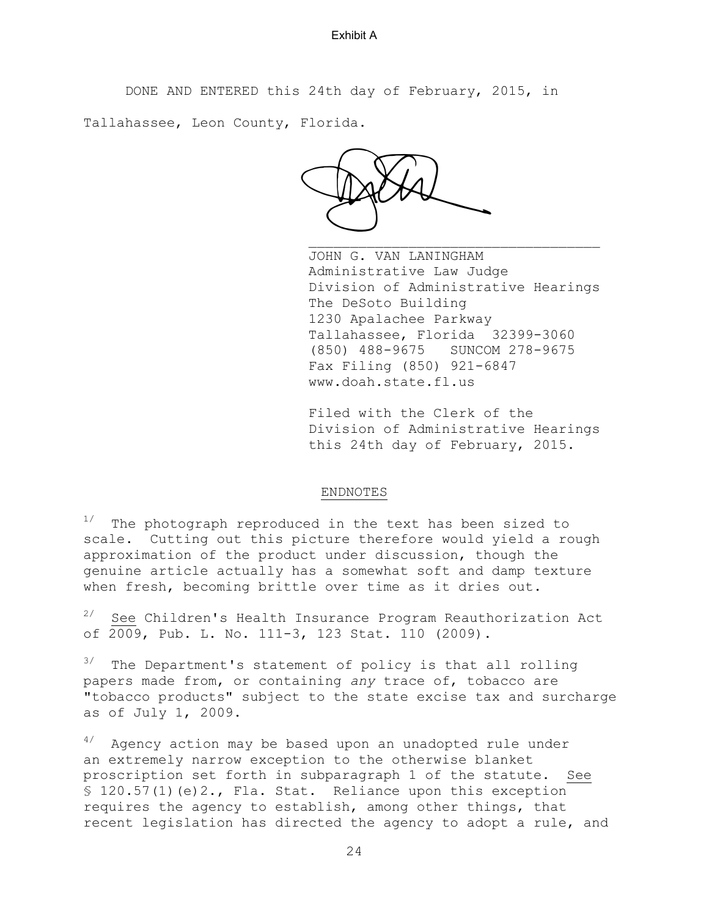DONE AND ENTERED this 24th day of February, 2015, in

Tallahassee, Leon County, Florida.

JARA

JOHN G. VAN LANINGHAM Administrative Law Judge Division of Administrative Hearings The DeSoto Building 1230 Apalachee Parkway Tallahassee, Florida 32399-3060 (850) 488-9675 SUNCOM 278-9675 Fax Filing (850) 921-6847 www.doah.state.fl.us

Filed with the Clerk of the Division of Administrative Hearings this 24th day of February, 2015.

# ENDNOTES

 $1/$  The photograph reproduced in the text has been sized to scale. Cutting out this picture therefore would yield a rough approximation of the product under discussion, though the genuine article actually has a somewhat soft and damp texture when fresh, becoming brittle over time as it dries out.

 $2/$  See Children's Health Insurance Program Reauthorization Act of 2009, Pub. L. No. 111-3, 123 Stat. 110 (2009).

 $3/$  The Department's statement of policy is that all rolling papers made from, or containing *any* trace of, tobacco are "tobacco products" subject to the state excise tax and surcharge as of July 1, 2009.

 $4/4$  Agency action may be based upon an unadopted rule under an extremely narrow exception to the otherwise blanket proscription set forth in subparagraph 1 of the statute. See  $$ 120.57(1)(e)2.,$  Fla. Stat. Reliance upon this exception requires the agency to establish, among other things, that recent legislation has directed the agency to adopt a rule, and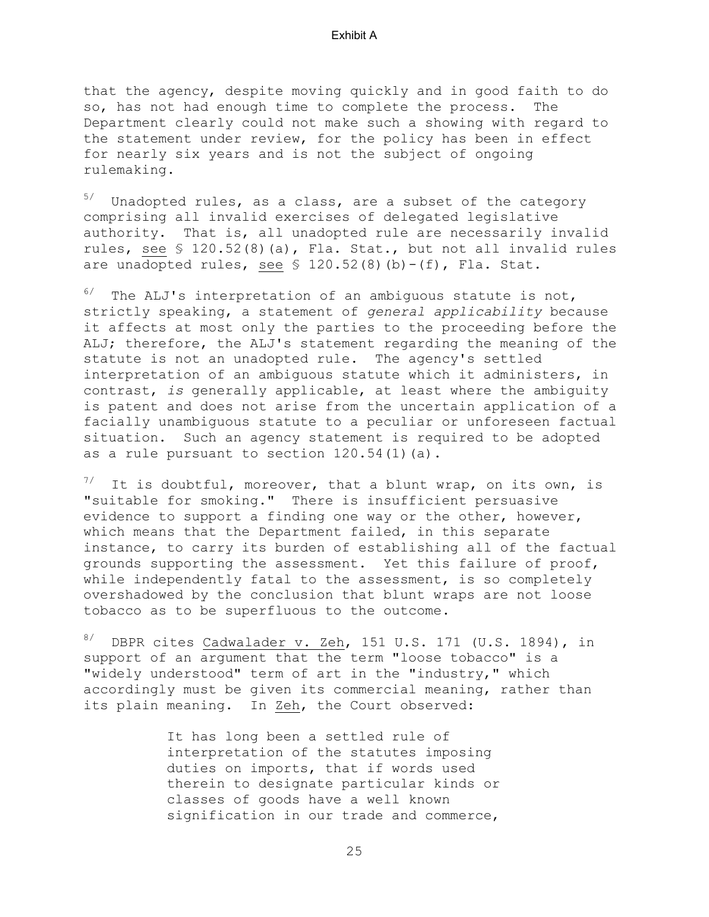that the agency, despite moving quickly and in good faith to do so, has not had enough time to complete the process. The Department clearly could not make such a showing with regard to the statement under review, for the policy has been in effect for nearly six years and is not the subject of ongoing rulemaking.

 $5/$  Unadopted rules, as a class, are a subset of the category comprising all invalid exercises of delegated legislative authority. That is, all unadopted rule are necessarily invalid rules, see § 120.52(8)(a), Fla. Stat., but not all invalid rules are unadopted rules, see  $\frac{120.52(8)}{b}$  (b) - (f), Fla. Stat.

 $6/$  The ALJ's interpretation of an ambiguous statute is not, strictly speaking, a statement of *general applicability* because it affects at most only the parties to the proceeding before the ALJ; therefore, the ALJ's statement regarding the meaning of the statute is not an unadopted rule. The agency's settled interpretation of an ambiguous statute which it administers, in contrast, *is* generally applicable, at least where the ambiguity is patent and does not arise from the uncertain application of a facially unambiguous statute to a peculiar or unforeseen factual situation. Such an agency statement is required to be adopted as a rule pursuant to section 120.54(1)(a).

It is doubtful, moreover, that a blunt wrap, on its own, is "suitable for smoking." There is insufficient persuasive evidence to support a finding one way or the other, however, which means that the Department failed, in this separate instance, to carry its burden of establishing all of the factual grounds supporting the assessment. Yet this failure of proof, while independently fatal to the assessment, is so completely overshadowed by the conclusion that blunt wraps are not loose tobacco as to be superfluous to the outcome.

 $8/$  DBPR cites Cadwalader v. Zeh, 151 U.S. 171 (U.S. 1894), in support of an argument that the term "loose tobacco" is a "widely understood" term of art in the "industry," which accordingly must be given its commercial meaning, rather than its plain meaning. In Zeh, the Court observed:

> It has long been a settled rule of interpretation of the statutes imposing duties on imports, that if words used therein to designate particular kinds or classes of goods have a well known signification in our trade and commerce,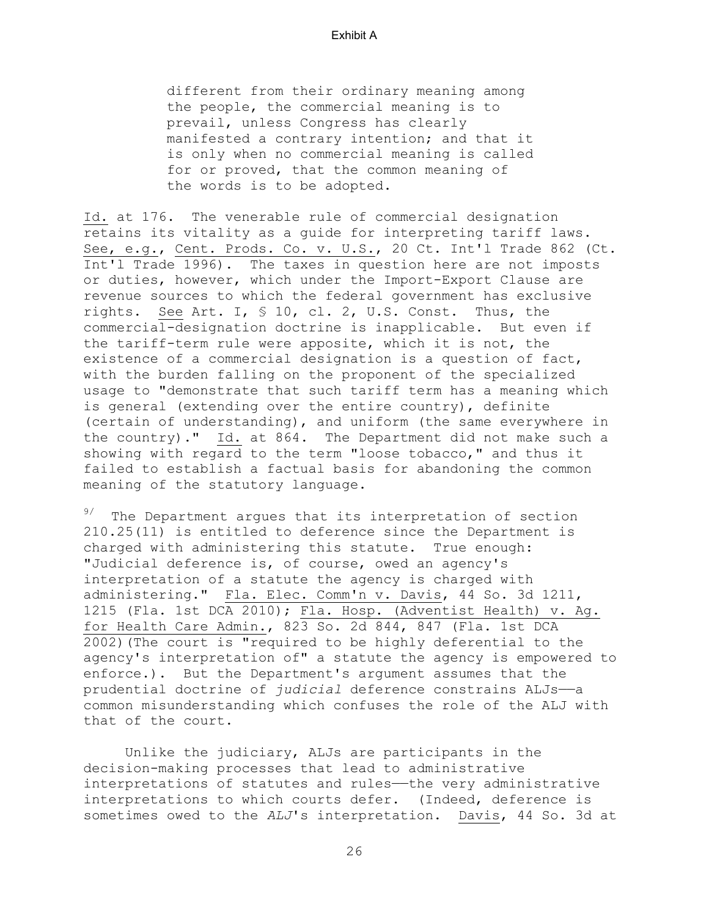different from their ordinary meaning among the people, the commercial meaning is to prevail, unless Congress has clearly manifested a contrary intention; and that it is only when no commercial meaning is called for or proved, that the common meaning of the words is to be adopted.

Id. at 176. The venerable rule of commercial designation retains its vitality as a guide for interpreting tariff laws. See, e.g., Cent. Prods. Co. v. U.S., 20 Ct. Int'l Trade 862 (Ct. Int'l Trade 1996). The taxes in question here are not imposts or duties, however, which under the Import-Export Clause are revenue sources to which the federal government has exclusive rights. See Art. I, § 10, cl. 2, U.S. Const. Thus, the commercial-designation doctrine is inapplicable. But even if the tariff-term rule were apposite, which it is not, the existence of a commercial designation is a question of fact, with the burden falling on the proponent of the specialized usage to "demonstrate that such tariff term has a meaning which is general (extending over the entire country), definite (certain of understanding), and uniform (the same everywhere in the country)." Id. at 864. The Department did not make such a showing with regard to the term "loose tobacco," and thus it failed to establish a factual basis for abandoning the common meaning of the statutory language.

 $9/$  The Department argues that its interpretation of section 210.25(11) is entitled to deference since the Department is charged with administering this statute. True enough: "Judicial deference is, of course, owed an agency's interpretation of a statute the agency is charged with administering." Fla. Elec. Comm'n v. Davis, 44 So. 3d 1211, 1215 (Fla. 1st DCA 2010); Fla. Hosp. (Adventist Health) v. Ag. for Health Care Admin., 823 So. 2d 844, 847 (Fla. 1st DCA 2002)(The court is "required to be highly deferential to the agency's interpretation of" a statute the agency is empowered to enforce.). But the Department's argument assumes that the prudential doctrine of *judicial* deference constrains ALJs——a common misunderstanding which confuses the role of the ALJ with that of the court.

 Unlike the judiciary, ALJs are participants in the decision-making processes that lead to administrative interpretations of statutes and rules—the very administrative interpretations to which courts defer. (Indeed, deference is sometimes owed to the *ALJ*'s interpretation. Davis, 44 So. 3d at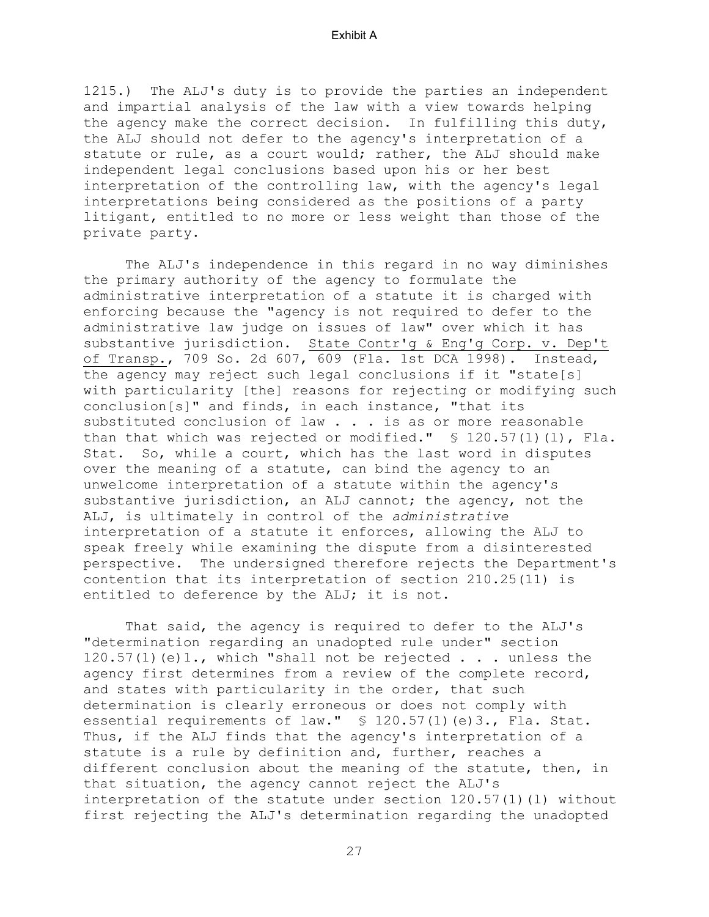1215.) The ALJ's duty is to provide the parties an independent and impartial analysis of the law with a view towards helping the agency make the correct decision. In fulfilling this duty, the ALJ should not defer to the agency's interpretation of a statute or rule, as a court would; rather, the ALJ should make independent legal conclusions based upon his or her best interpretation of the controlling law, with the agency's legal interpretations being considered as the positions of a party litigant, entitled to no more or less weight than those of the private party.

 The ALJ's independence in this regard in no way diminishes the primary authority of the agency to formulate the administrative interpretation of a statute it is charged with enforcing because the "agency is not required to defer to the administrative law judge on issues of law" over which it has substantive jurisdiction. State Contr'g & Eng'g Corp. v. Dep't of Transp., 709 So. 2d 607, 609 (Fla. 1st DCA 1998). Instead, the agency may reject such legal conclusions if it "state[s] with particularity [the] reasons for rejecting or modifying such conclusion[s]" and finds, in each instance, "that its substituted conclusion of law . . . is as or more reasonable than that which was rejected or modified." § 120.57(1)(l), Fla. Stat. So, while a court, which has the last word in disputes over the meaning of a statute, can bind the agency to an unwelcome interpretation of a statute within the agency's substantive jurisdiction, an ALJ cannot; the agency, not the ALJ, is ultimately in control of the *administrative* interpretation of a statute it enforces, allowing the ALJ to speak freely while examining the dispute from a disinterested perspective. The undersigned therefore rejects the Department's contention that its interpretation of section 210.25(11) is entitled to deference by the ALJ; it is not.

 That said, the agency is required to defer to the ALJ's "determination regarding an unadopted rule under" section 120.57(1)(e)1., which "shall not be rejected . . . unless the agency first determines from a review of the complete record, and states with particularity in the order, that such determination is clearly erroneous or does not comply with essential requirements of law." § 120.57(1)(e)3., Fla. Stat. Thus, if the ALJ finds that the agency's interpretation of a statute is a rule by definition and, further, reaches a different conclusion about the meaning of the statute, then, in that situation, the agency cannot reject the ALJ's interpretation of the statute under section  $120.57(1)(1)$  without first rejecting the ALJ's determination regarding the unadopted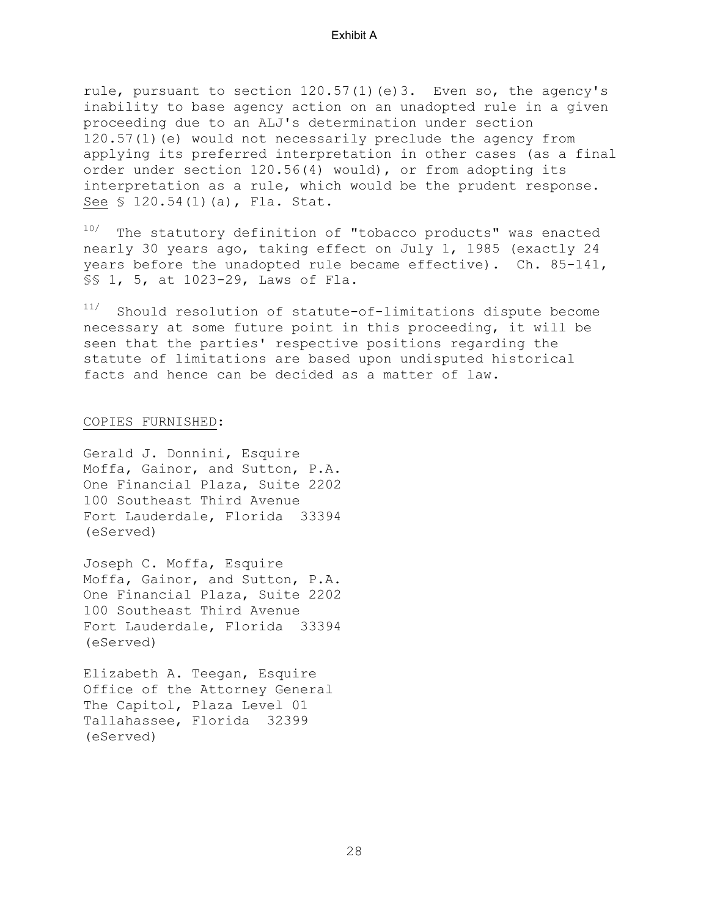rule, pursuant to section  $120.57(1)(e)3$ . Even so, the agency's inability to base agency action on an unadopted rule in a given proceeding due to an ALJ's determination under section 120.57(1)(e) would not necessarily preclude the agency from applying its preferred interpretation in other cases (as a final order under section 120.56(4) would), or from adopting its interpretation as a rule, which would be the prudent response. See § 120.54(1)(a), Fla. Stat.

10/ The statutory definition of "tobacco products" was enacted nearly 30 years ago, taking effect on July 1, 1985 (exactly 24 years before the unadopted rule became effective). Ch. 85-141, §§ 1, 5, at 1023-29, Laws of Fla.

11/ Should resolution of statute-of-limitations dispute become necessary at some future point in this proceeding, it will be seen that the parties' respective positions regarding the statute of limitations are based upon undisputed historical facts and hence can be decided as a matter of law.

#### COPIES FURNISHED:

Gerald J. Donnini, Esquire Moffa, Gainor, and Sutton, P.A. One Financial Plaza, Suite 2202 100 Southeast Third Avenue Fort Lauderdale, Florida 33394 (eServed)

Joseph C. Moffa, Esquire Moffa, Gainor, and Sutton, P.A. One Financial Plaza, Suite 2202 100 Southeast Third Avenue Fort Lauderdale, Florida 33394 (eServed)

Elizabeth A. Teegan, Esquire Office of the Attorney General The Capitol, Plaza Level 01 Tallahassee, Florida 32399 (eServed)